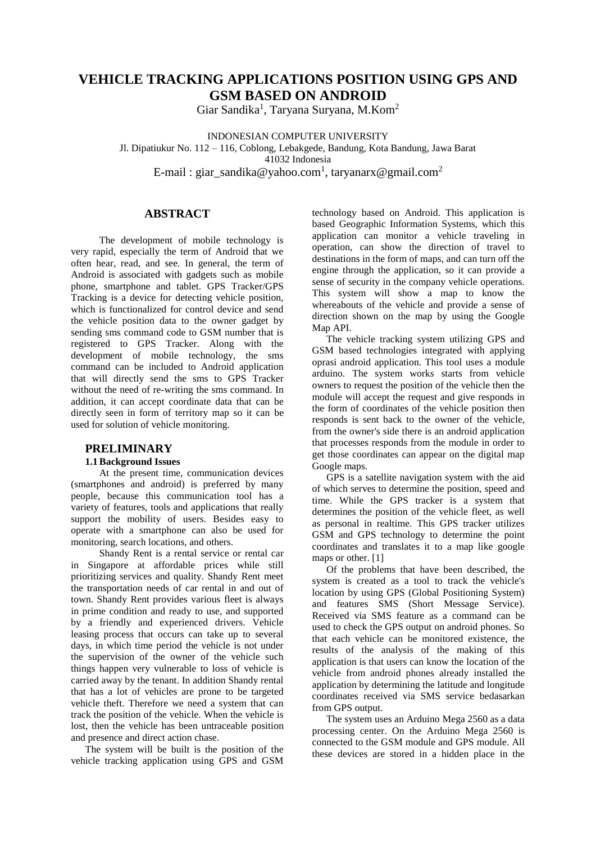## **VEHICLE TRACKING APPLICATIONS POSITION USING GPS AND GSM BASED ON ANDROID**

Giar Sandika<sup>1</sup>, Taryana Suryana, M.Kom<sup>2</sup>

INDONESIAN COMPUTER UNIVERSITY

Jl. Dipatiukur No. 112 – 116, Coblong, Lebakgede, Bandung, Kota Bandung, Jawa Barat 41032 Indonesia

E-mail : giar\_sandika@yahoo.com<sup>1</sup>, taryanarx@gmail.com<sup>2</sup>

### **ABSTRACT**

The development of mobile technology is very rapid, especially the term of Android that we often hear, read, and see. In general, the term of Android is associated with gadgets such as mobile phone, smartphone and tablet. GPS Tracker/GPS Tracking is a device for detecting vehicle position, which is functionalized for control device and send the vehicle position data to the owner gadget by sending sms command code to GSM number that is registered to GPS Tracker. Along with the development of mobile technology, the sms command can be included to Android application that will directly send the sms to GPS Tracker without the need of re-writing the sms command. In addition, it can accept coordinate data that can be directly seen in form of territory map so it can be used for solution of vehicle monitoring.

### **PRELIMINARY**

### **1.1Background Issues**

At the present time, communication devices (smartphones and android) is preferred by many people, because this communication tool has a variety of features, tools and applications that really support the mobility of users. Besides easy to operate with a smartphone can also be used for monitoring, search locations, and others.

Shandy Rent is a rental service or rental car in Singapore at affordable prices while still prioritizing services and quality. Shandy Rent meet the transportation needs of car rental in and out of town. Shandy Rent provides various fleet is always in prime condition and ready to use, and supported by a friendly and experienced drivers. Vehicle leasing process that occurs can take up to several days, in which time period the vehicle is not under the supervision of the owner of the vehicle such things happen very vulnerable to loss of vehicle is carried away by the tenant. In addition Shandy rental that has a lot of vehicles are prone to be targeted vehicle theft. Therefore we need a system that can track the position of the vehicle. When the vehicle is lost, then the vehicle has been untraceable position and presence and direct action chase.

The system will be built is the position of the vehicle tracking application using GPS and GSM

technology based on Android. This application is based Geographic Information Systems, which this application can monitor a vehicle traveling in operation, can show the direction of travel to destinations in the form of maps, and can turn off the engine through the application, so it can provide a sense of security in the company vehicle operations. This system will show a map to know the whereabouts of the vehicle and provide a sense of direction shown on the map by using the Google Map API.

The vehicle tracking system utilizing GPS and GSM based technologies integrated with applying oprasi android application. This tool uses a module arduino. The system works starts from vehicle owners to request the position of the vehicle then the module will accept the request and give responds in the form of coordinates of the vehicle position then responds is sent back to the owner of the vehicle, from the owner's side there is an android application that processes responds from the module in order to get those coordinates can appear on the digital map Google maps.

GPS is a satellite navigation system with the aid of which serves to determine the position, speed and time. While the GPS tracker is a system that determines the position of the vehicle fleet, as well as personal in realtime. This GPS tracker utilizes GSM and GPS technology to determine the point coordinates and translates it to a map like google maps or other. [1]

Of the problems that have been described, the system is created as a tool to track the vehicle's location by using GPS (Global Positioning System) and features SMS (Short Message Service). Received via SMS feature as a command can be used to check the GPS output on android phones. So that each vehicle can be monitored existence, the results of the analysis of the making of this application is that users can know the location of the vehicle from android phones already installed the application by determining the latitude and longitude coordinates received via SMS service bedasarkan from GPS output.

The system uses an Arduino Mega 2560 as a data processing center. On the Arduino Mega 2560 is connected to the GSM module and GPS module. All these devices are stored in a hidden place in the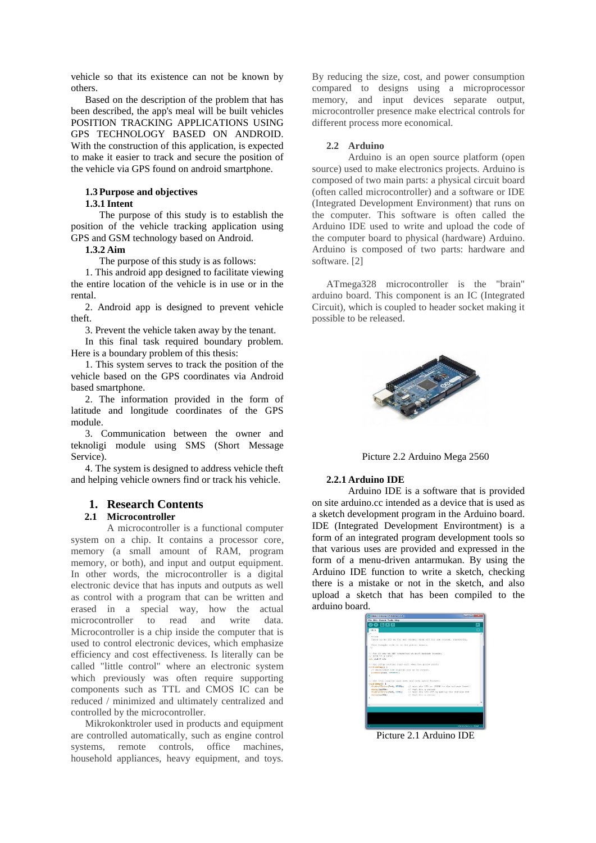vehicle so that its existence can not be known by others.

Based on the description of the problem that has been described, the app's meal will be built vehicles POSITION TRACKING APPLICATIONS USING GPS TECHNOLOGY BASED ON ANDROID. With the construction of this application, is expected to make it easier to track and secure the position of the vehicle via GPS found on android smartphone.

### **1.3 Purpose and objectives**

### **1.3.1 Intent**

The purpose of this study is to establish the position of the vehicle tracking application using GPS and GSM technology based on Android.

#### **1.3.2 Aim**

The purpose of this study is as follows:

1. This android app designed to facilitate viewing the entire location of the vehicle is in use or in the rental.

2. Android app is designed to prevent vehicle theft.

3. Prevent the vehicle taken away by the tenant.

In this final task required boundary problem. Here is a boundary problem of this thesis:

1. This system serves to track the position of the vehicle based on the GPS coordinates via Android based smartphone.

2. The information provided in the form of latitude and longitude coordinates of the GPS module.

3. Communication between the owner and teknoligi module using SMS (Short Message Service).

4. The system is designed to address vehicle theft and helping vehicle owners find or track his vehicle.

### **1. Research Contents**

### **2.1 Microcontroller**

A microcontroller is a functional computer system on a chip. It contains a processor core, memory (a small amount of RAM, program memory, or both), and input and output equipment. In other words, the microcontroller is a digital electronic device that has inputs and outputs as well as control with a program that can be written and erased in a special way, how the actual microcontroller to read and write data. Microcontroller is a chip inside the computer that is used to control electronic devices, which emphasize efficiency and cost effectiveness. Is literally can be called "little control" where an electronic system which previously was often require supporting components such as TTL and CMOS IC can be reduced / minimized and ultimately centralized and controlled by the microcontroller.

Mikrokonktroler used in products and equipment are controlled automatically, such as engine control systems, remote controls, office machines, household appliances, heavy equipment, and toys.

By reducing the size, cost, and power consumption compared to designs using a microprocessor memory, and input devices separate output, microcontroller presence make electrical controls for different process more economical.

#### **2.2 Arduino**

Arduino is an open source platform (open source) used to make electronics projects. Arduino is composed of two main parts: a physical circuit board (often called microcontroller) and a software or IDE (Integrated Development Environment) that runs on the computer. This software is often called the Arduino IDE used to write and upload the code of the computer board to physical (hardware) Arduino. Arduino is composed of two parts: hardware and software. [2]

ATmega328 microcontroller is the "brain" arduino board. This component is an IC (Integrated Circuit), which is coupled to header socket making it possible to be released.



Picture 2.2 Arduino Mega 2560

#### **2.2.1 Arduino IDE**

Arduino IDE is a software that is provided on site arduino.cc intended as a device that is used as a sketch development program in the Arduino board. IDE (Integrated Development Environtment) is a form of an integrated program development tools so that various uses are provided and expressed in the form of a menu-driven antarmukan. By using the Arduino IDE function to write a sketch, checking there is a mistake or not in the sketch, and also upload a sketch that has been compiled to the arduino board.

| File Edit Statch Toels Help                               |                                                                              |    |
|-----------------------------------------------------------|------------------------------------------------------------------------------|----|
| $\bullet$ beb                                             |                                                                              | !∞ |
| <b>Client</b>                                             |                                                                              |    |
|                                                           |                                                                              |    |
| DIAM                                                      |                                                                              |    |
|                                                           | Turns on an LED on for one serond, then off for one sessed, repeatedly,      |    |
| This example code is in the public domain.                |                                                                              |    |
| $\mathcal{F}$                                             |                                                                              |    |
| or Fan 13 has us bill connected in next Ardense bounds;   |                                                                              |    |
| // other time member                                      |                                                                              |    |
| ant aug = 23r                                             |                                                                              |    |
|                                                           |                                                                              |    |
| // Chi cotus routine runs ence shen you proof reports     |                                                                              |    |
| vest metap () {                                           |                                                                              |    |
| // initialize the disital pin as an output.               |                                                                              |    |
| panetode (led. OFFFRE) ;                                  |                                                                              |    |
|                                                           |                                                                              |    |
| (c) the Trom insuring runs over and open arean functions. |                                                                              |    |
| youd loggill in                                           |                                                                              |    |
|                                                           | distratificing their mining of computer into an infinite the solicent length |    |
| delay(1000)?                                              | 27 weil Los o proced                                                         |    |
|                                                           | distrainers that, 1000; // cars the 100 off by asking the voltage 100        |    |
| delay(1030))                                              | 177 MALE TAX: O BROOM                                                        |    |
|                                                           |                                                                              |    |
|                                                           |                                                                              |    |
|                                                           |                                                                              |    |
|                                                           |                                                                              |    |
|                                                           |                                                                              |    |
|                                                           |                                                                              |    |
|                                                           |                                                                              |    |
|                                                           |                                                                              |    |
|                                                           |                                                                              |    |
|                                                           |                                                                              |    |
|                                                           |                                                                              |    |

Picture 2.1 Arduino IDE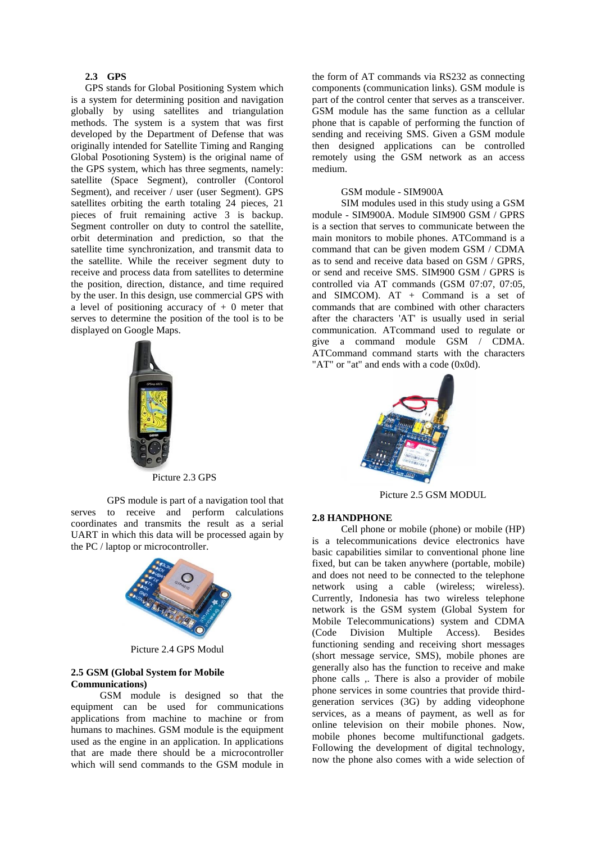### **2.3 GPS**

GPS stands for Global Positioning System which is a system for determining position and navigation globally by using satellites and triangulation methods. The system is a system that was first developed by the Department of Defense that was originally intended for Satellite Timing and Ranging Global Posotioning System) is the original name of the GPS system, which has three segments, namely: satellite (Space Segment), controller (Contorol Segment), and receiver / user (user Segment). GPS satellites orbiting the earth totaling 24 pieces, 21 pieces of fruit remaining active 3 is backup. Segment controller on duty to control the satellite, orbit determination and prediction, so that the satellite time synchronization, and transmit data to the satellite. While the receiver segment duty to receive and process data from satellites to determine the position, direction, distance, and time required by the user. In this design, use commercial GPS with a level of positioning accuracy of  $+ 0$  meter that serves to determine the position of the tool is to be displayed on Google Maps.



Picture 2.3 GPS

GPS module is part of a navigation tool that serves to receive and perform calculations coordinates and transmits the result as a serial UART in which this data will be processed again by the PC / laptop or microcontroller.



Picture 2.4 GPS Modul

### **2.5 GSM (Global System for Mobile Communications)**

GSM module is designed so that the equipment can be used for communications applications from machine to machine or from humans to machines. GSM module is the equipment used as the engine in an application. In applications that are made there should be a microcontroller which will send commands to the GSM module in the form of AT commands via RS232 as connecting components (communication links). GSM module is part of the control center that serves as a transceiver. GSM module has the same function as a cellular phone that is capable of performing the function of sending and receiving SMS. Given a GSM module then designed applications can be controlled remotely using the GSM network as an access medium.

### GSM module - SIM900A

SIM modules used in this study using a GSM module - SIM900A. Module SIM900 GSM / GPRS is a section that serves to communicate between the main monitors to mobile phones. ATCommand is a command that can be given modem GSM / CDMA as to send and receive data based on GSM / GPRS, or send and receive SMS. SIM900 GSM / GPRS is controlled via AT commands (GSM 07:07, 07:05, and SIMCOM). AT + Command is a set of commands that are combined with other characters after the characters 'AT' is usually used in serial communication. ATcommand used to regulate or give a command module GSM / CDMA. ATCommand command starts with the characters "AT" or "at" and ends with a code (0x0d).



Picture 2.5 GSM MODUL

#### **2.8 HANDPHONE**

Cell phone or mobile (phone) or mobile (HP) is a telecommunications device electronics have basic capabilities similar to conventional phone line fixed, but can be taken anywhere (portable, mobile) and does not need to be connected to the telephone network using a cable (wireless; wireless). Currently, Indonesia has two wireless telephone network is the GSM system (Global System for Mobile Telecommunications) system and CDMA (Code Division Multiple Access). Besides functioning sending and receiving short messages (short message service, SMS), mobile phones are generally also has the function to receive and make phone calls ,. There is also a provider of mobile phone services in some countries that provide thirdgeneration services (3G) by adding videophone services, as a means of payment, as well as for online television on their mobile phones. Now, mobile phones become multifunctional gadgets. Following the development of digital technology, now the phone also comes with a wide selection of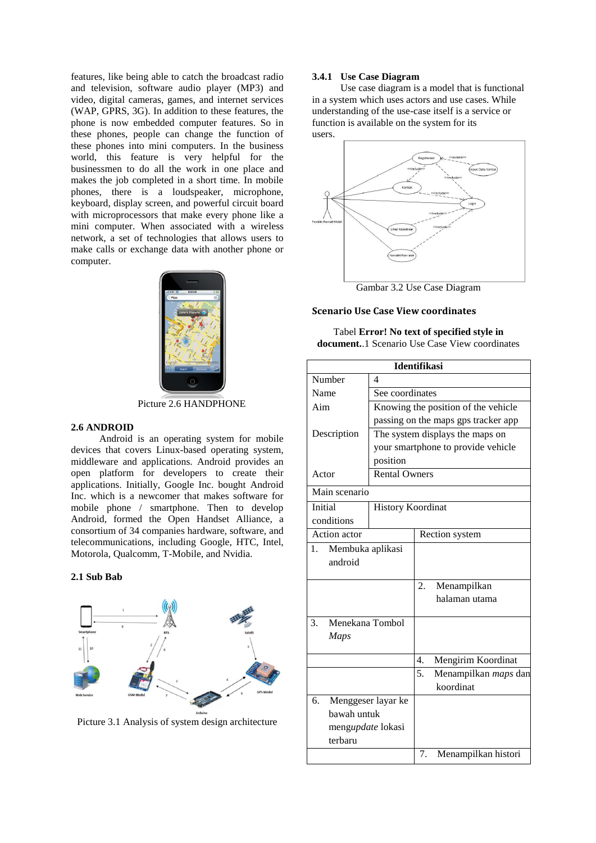features, like being able to catch the broadcast radio and television, software audio player (MP3) and video, digital cameras, games, and internet services (WAP, GPRS, 3G). In addition to these features, the phone is now embedded computer features. So in these phones, people can change the function of these phones into mini computers. In the business world, this feature is very helpful for the businessmen to do all the work in one place and makes the job completed in a short time. In mobile phones, there is a loudspeaker, microphone, keyboard, display screen, and powerful circuit board with microprocessors that make every phone like a mini computer. When associated with a wireless network, a set of technologies that allows users to make calls or exchange data with another phone or computer.



Picture 2.6 HANDPHONE

### **2.6 ANDROID**

Android is an operating system for mobile devices that covers Linux-based operating system, middleware and applications. Android provides an open platform for developers to create their applications. Initially, Google Inc. bought Android Inc. which is a newcomer that makes software for mobile phone / smartphone. Then to develop Android, formed the Open Handset Alliance, a consortium of 34 companies hardware, software, and telecommunications, including Google, HTC, Intel, Motorola, Qualcomm, T-Mobile, and Nvidia.

### **2.1 Sub Bab**



Picture 3.1 Analysis of system design architecture

### **3.4.1 Use Case Diagram**

Use case diagram is a model that is functional in a system which uses actors and use cases. While understanding of the use-case itself is a service or function is available on the system for its users.



Gambar 3.2 Use Case Diagram

## **Scenario Use Case View coordinates**

Tabel **Error! No text of specified style in document.**.1 Scenario Use Case View coordinates

| <b>Identifikasi</b>    |                          |    |                                     |  |
|------------------------|--------------------------|----|-------------------------------------|--|
| Number                 | 4                        |    |                                     |  |
| Name                   | See coordinates          |    |                                     |  |
| Aim                    |                          |    | Knowing the position of the vehicle |  |
|                        |                          |    | passing on the maps gps tracker app |  |
| Description            |                          |    | The system displays the maps on     |  |
|                        |                          |    | your smartphone to provide vehicle  |  |
|                        | position                 |    |                                     |  |
| Actor                  | <b>Rental Owners</b>     |    |                                     |  |
| Main scenario          |                          |    |                                     |  |
| Initial                | <b>History Koordinat</b> |    |                                     |  |
| conditions             |                          |    |                                     |  |
| <b>Action</b> actor    |                          |    | Rection system                      |  |
| Membuka aplikasi<br>1. |                          |    |                                     |  |
| android                |                          |    |                                     |  |
|                        |                          | 2. | Menampilkan                         |  |
|                        |                          |    | halaman utama                       |  |
| Menekana Tombol<br>3.  |                          |    |                                     |  |
| Maps                   |                          |    |                                     |  |
|                        |                          | 4. | Mengirim Koordinat                  |  |
|                        |                          | 5. | Menampilkan maps dan                |  |
|                        |                          |    | koordinat                           |  |
| б.                     | Menggeser layar ke       |    |                                     |  |
| bawah untuk            |                          |    |                                     |  |
| mengupdate lokasi      |                          |    |                                     |  |
| terbaru                |                          |    |                                     |  |
|                        |                          | 7. | Menampilkan histori                 |  |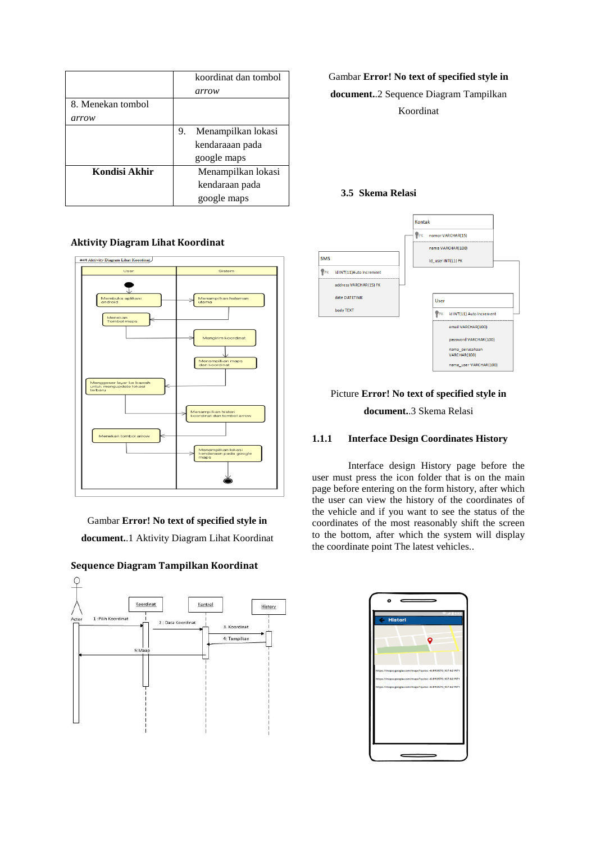|                   | koordinat dan tombol     |
|-------------------|--------------------------|
|                   | arrow                    |
| 8. Menekan tombol |                          |
| arrow             |                          |
|                   | Menampilkan lokasi<br>9. |
|                   | kendaraaan pada          |
|                   | google maps              |
| Kondisi Akhir     | Menampilkan lokasi       |
|                   | kendaraan pada           |
|                   | google maps              |

### **Aktivity Diagram Lihat Koordinat**



Gambar **Error! No text of specified style in document.**.1 Aktivity Diagram Lihat Koordinat



### **Sequence Diagram Tampilkan Koordinat**

Gambar **Error! No text of specified style in** 

**document.**.2 Sequence Diagram Tampilkan Koordinat

### **3.5 Skema Relasi**



# Picture **Error! No text of specified style in document.**.3 Skema Relasi

### **1.1.1 Interface Design Coordinates History**

Interface design History page before the user must press the icon folder that is on the main page before entering on the form history, after which the user can view the history of the coordinates of the vehicle and if you want to see the status of the coordinates of the most reasonably shift the screen to the bottom, after which the system will display the coordinate point The latest vehicles..

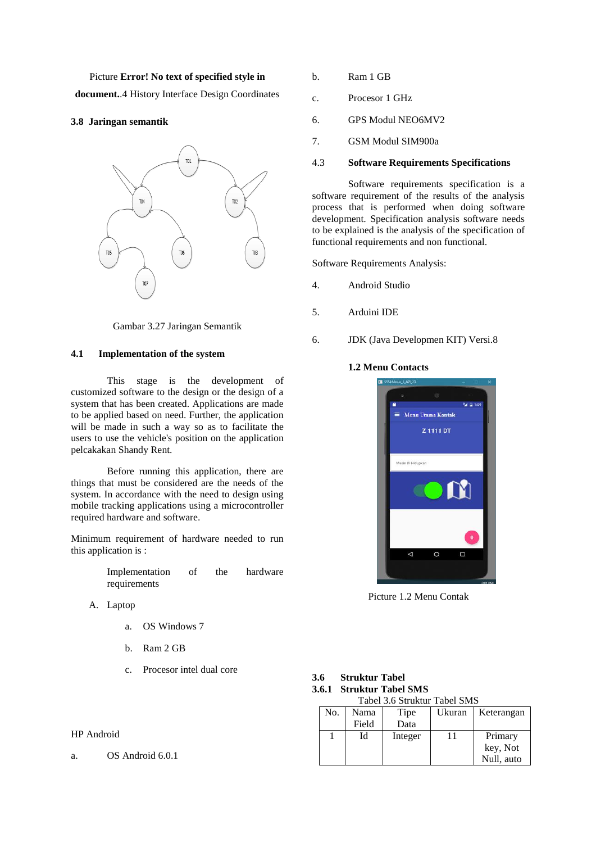Picture **Error! No text of specified style in** 

**document.**.4 History Interface Design Coordinates

### **3.8 Jaringan semantik**



Gambar 3.27 Jaringan Semantik

### **4.1 Implementation of the system**

This stage is the development of customized software to the design or the design of a system that has been created. Applications are made to be applied based on need. Further, the application will be made in such a way so as to facilitate the users to use the vehicle's position on the application pelcakakan Shandy Rent.

Before running this application, there are things that must be considered are the needs of the system. In accordance with the need to design using mobile tracking applications using a microcontroller required hardware and software.

Minimum requirement of hardware needed to run this application is :

| Implementation | of | the | hardware |
|----------------|----|-----|----------|
| requirements   |    |     |          |

- A. Laptop
	- a. OS Windows 7
	- b. Ram 2 GB
	- c. Procesor intel dual core

### HP Android

a. OS Android 6.0.1

- b. Ram 1 GB
- c. Procesor 1 GHz
- 6. GPS Modul NEO6MV2
- 7. GSM Modul SIM900a

### 4.3 **Software Requirements Specifications**

Software requirements specification is a software requirement of the results of the analysis process that is performed when doing software development. Specification analysis software needs to be explained is the analysis of the specification of functional requirements and non functional.

Software Requirements Analysis:

- 4. Android Studio
- 5. Arduini IDE
- 6. JDK (Java Developmen KIT) Versi.8

### **1.2 Menu Contacts**



Picture 1.2 Menu Contak

| 3.6 Struktur Tabel           |
|------------------------------|
| 3.6.1 Struktur Tabel SMS     |
| Tabel 3.6 Struktur Tabel SMS |

| No. | Nama  | Tipe    | Ukuran | Keterangan |
|-----|-------|---------|--------|------------|
|     | Field | Data    |        |            |
|     | Id    | Integer |        | Primary    |
|     |       |         |        | key, Not   |
|     |       |         |        | Null, auto |